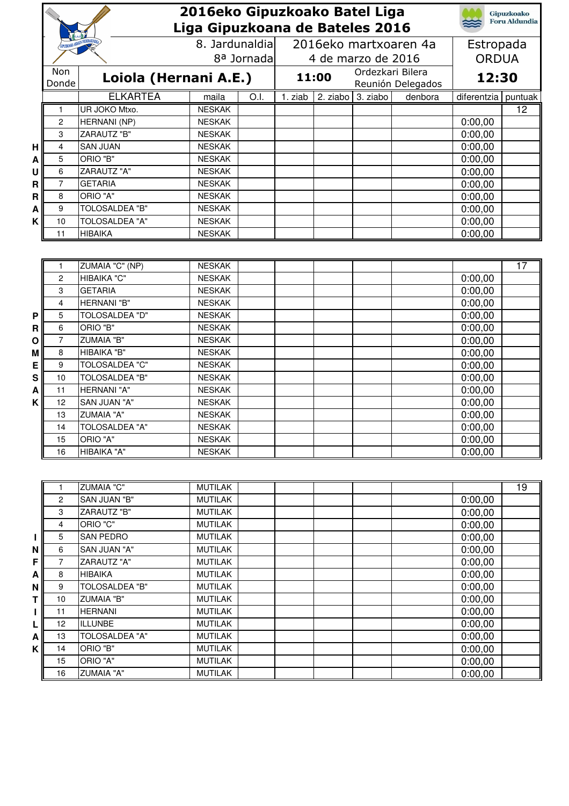|   |                |                            | 2016eko Gipuzkoako Batel Liga  |      |                                 |          |                      |                       |                     | <b>Gipuzkoako</b> |
|---|----------------|----------------------------|--------------------------------|------|---------------------------------|----------|----------------------|-----------------------|---------------------|-------------------|
|   |                |                            |                                |      | Liga Gipuzkoana de Bateles 2016 |          | <b>Foru Aldundia</b> |                       |                     |                   |
|   |                |                            | 8. Jardunaldia                 |      |                                 |          |                      | 2016eko martxoaren 4a | Estropada           |                   |
|   |                | 8 <sup>a</sup> Jornada     |                                |      | 4 de marzo de 2016              |          |                      |                       | <b>ORDUA</b>        |                   |
|   | Non            |                            | Loiola (Hernani A.E.)          |      | Ordezkari Bilera<br>11:00       |          |                      |                       | 12:30               |                   |
|   | Donde          |                            |                                |      |                                 |          |                      | Reunión Delegados     |                     |                   |
|   |                | <b>ELKARTEA</b>            | maila                          | O.I. | 1. ziab                         | 2. ziabo | 3. ziabo             | denbora               | diferentzia puntuak |                   |
|   | 1              | UR JOKO Mtxo.              | <b>NESKAK</b>                  |      |                                 |          |                      |                       |                     | $\overline{12}$   |
|   | 2              | <b>HERNANI</b> (NP)        | <b>NESKAK</b>                  |      |                                 |          |                      |                       | 0:00,00             |                   |
|   | 3              | <b>ZARAUTZ "B"</b>         | <b>NESKAK</b>                  |      |                                 |          |                      |                       | 0:00,00             |                   |
| Н | 4              | <b>SAN JUAN</b>            | <b>NESKAK</b>                  |      |                                 |          |                      |                       | 0:00,00             |                   |
| Α | 5              | ORIO "B"                   | <b>NESKAK</b>                  |      |                                 |          |                      |                       | 0:00,00             |                   |
| U | 6              | ZARAUTZ "A"                | <b>NESKAK</b>                  |      |                                 |          |                      |                       | 0:00,00             |                   |
| R | $\overline{7}$ | <b>GETARIA</b>             | <b>NESKAK</b><br><b>NESKAK</b> |      |                                 |          |                      |                       | 0:00,00             |                   |
| R | 8<br>9         | ORIO "A"<br>TOLOSALDEA "B" | <b>NESKAK</b>                  |      |                                 |          |                      |                       | 0:00,00             |                   |
| A | 10             | TOLOSALDEA "A"             | <b>NESKAK</b>                  |      |                                 |          |                      |                       | 0:00,00             |                   |
| Κ | 11             | <b>HIBAIKA</b>             | <b>NESKAK</b>                  |      |                                 |          |                      |                       | 0:00,00<br>0:00,00  |                   |
|   |                |                            |                                |      |                                 |          |                      |                       |                     |                   |
|   |                |                            |                                |      |                                 |          |                      |                       |                     |                   |
|   | 1              | ZUMAIA "C" (NP)            | <b>NESKAK</b>                  |      |                                 |          |                      |                       |                     | $\overline{17}$   |
|   | 2              | HIBAIKA "C"                | <b>NESKAK</b>                  |      |                                 |          |                      |                       | 0:00,00             |                   |
|   | 3              | <b>GETARIA</b>             | <b>NESKAK</b>                  |      |                                 |          |                      |                       | 0:00,00             |                   |
|   | 4              | HERNANI "B"                | <b>NESKAK</b>                  |      |                                 |          |                      |                       | 0:00,00             |                   |
| P | 5              | <b>TOLOSALDEA "D"</b>      | <b>NESKAK</b>                  |      |                                 |          |                      |                       | 0:00,00             |                   |
| R | 6              | ORIO "B"                   | <b>NESKAK</b>                  |      |                                 |          |                      |                       | 0:00,00             |                   |
| Ο | $\overline{7}$ | <b>ZUMAIA "B"</b>          | <b>NESKAK</b>                  |      |                                 |          |                      |                       | 0:00,00             |                   |
| M | 8              | HIBAIKA "B"                | <b>NESKAK</b>                  |      |                                 |          |                      |                       | 0:00,00             |                   |
| E | 9              | <b>TOLOSALDEA "C"</b>      | <b>NESKAK</b>                  |      |                                 |          |                      |                       | 0:00,00             |                   |
| S | 10             | <b>TOLOSALDEA "B"</b>      | <b>NESKAK</b>                  |      |                                 |          |                      |                       | 0:00,00             |                   |
| A | 11             | <b>HERNANI "A"</b>         | <b>NESKAK</b>                  |      |                                 |          |                      |                       | 0:00,00             |                   |
| Κ | 12             | SAN JUAN "A"               | <b>NESKAK</b>                  |      |                                 |          |                      |                       | 0:00,00             |                   |
|   | 13             | <b>ZUMAIA "A"</b>          | <b>NESKAK</b>                  |      |                                 |          |                      |                       | 0:00,00             |                   |
|   | 14             | <b>TOLOSALDEA "A"</b>      | <b>NESKAK</b>                  |      |                                 |          |                      |                       | 0:00,00             |                   |
|   | 15             | ORIO "A"                   | <b>NESKAK</b>                  |      |                                 |          |                      |                       | 0:00,00             |                   |
|   | 16             | HIBAIKA "A"                | <b>NESKAK</b>                  |      |                                 |          |                      |                       | 0:00,00             |                   |
|   |                |                            |                                |      |                                 |          |                      |                       |                     |                   |
|   | 1              | <b>ZUMAIA "C"</b>          | <b>MUTILAK</b>                 |      |                                 |          |                      |                       |                     | $\overline{19}$   |
|   | 2              | SAN JUAN "B"               | <b>MUTILAK</b>                 |      |                                 |          |                      |                       | 0:00,00             |                   |
|   | 3              | ZARAUTZ "B"                | <b>MUTILAK</b>                 |      |                                 |          |                      |                       | 0:00,00             |                   |
|   | 4              | ORIO "C"                   | <b>MUTILAK</b>                 |      |                                 |          |                      |                       | 0:00,00             |                   |
| п | 5              | <b>SAN PEDRO</b>           | <b>MUTILAK</b>                 |      |                                 |          |                      |                       | 0:00,00             |                   |
| N | 6              | SAN JUAN "A"               | <b>MUTILAK</b>                 |      |                                 |          |                      |                       | 0:00,00             |                   |
| F | $\overline{7}$ | ZARAUTZ "A"                | <b>MUTILAK</b>                 |      |                                 |          |                      |                       | 0:00,00             |                   |
| Α | 8              | <b>HIBAIKA</b>             | <b>MUTILAK</b>                 |      |                                 |          |                      |                       | 0:00,00             |                   |
| N | 9              | <b>TOLOSALDEA "B"</b>      | <b>MUTILAK</b>                 |      |                                 |          |                      |                       | 0:00,00             |                   |
| Т | 10             | <b>ZUMAIA "B"</b>          | <b>MUTILAK</b>                 |      |                                 |          |                      |                       | 0:00,00             |                   |
| L | 11             | <b>HERNANI</b>             | <b>MUTILAK</b>                 |      |                                 |          |                      |                       | 0:00,00             |                   |
| L | 12             | <b>ILLUNBE</b>             | <b>MUTILAK</b>                 |      |                                 |          |                      |                       | 0:00,00             |                   |
| A | 13             | <b>TOLOSALDEA "A"</b>      | <b>MUTILAK</b>                 |      |                                 |          |                      |                       | 0:00,00             |                   |
| K | 14             | ORIO "B"                   | <b>MUTILAK</b>                 |      |                                 |          |                      |                       | 0:00,00             |                   |
|   | 15             | ORIO "A"                   | <b>MUTILAK</b>                 |      |                                 |          |                      |                       | 0:00,00             |                   |
|   | 16             | "ZUMAIA "A                 | <b>MUTILAK</b>                 |      |                                 |          |                      |                       | 0:00,00             |                   |